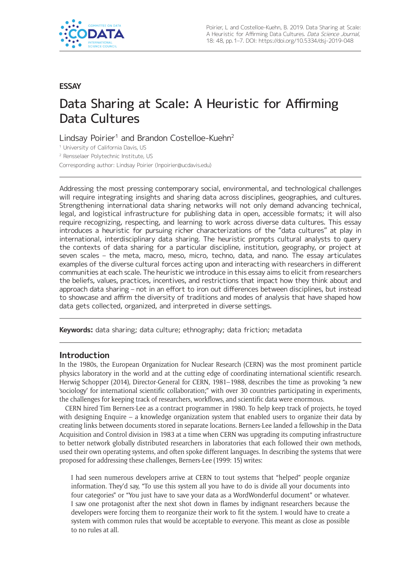

# **ESSAY**

# Data Sharing at Scale: A Heuristic for Affirming Data Cultures

Lindsay Poirier<sup>1</sup> and Brandon Costelloe-Kuehn<sup>2</sup>

<sup>1</sup> University of California Davis, US

<sup>2</sup> Rensselaer Polytechnic Institute, US

Corresponding author: Lindsay Poirier [\(lnpoirier@ucdavis.edu\)](mailto:lnpoirier@ucdavis.edu)

Addressing the most pressing contemporary social, environmental, and technological challenges will require integrating insights and sharing data across disciplines, geographies, and cultures. Strengthening international data sharing networks will not only demand advancing technical, legal, and logistical infrastructure for publishing data in open, accessible formats; it will also require recognizing, respecting, and learning to work across diverse data cultures. This essay introduces a heuristic for pursuing richer characterizations of the "data cultures" at play in international, interdisciplinary data sharing. The heuristic prompts cultural analysts to query the contexts of data sharing for a particular discipline, institution, geography, or project at seven scales – the meta, macro, meso, micro, techno, data, and nano. The essay articulates examples of the diverse cultural forces acting upon and interacting with researchers in different communities at each scale. The heuristic we introduce in this essay aims to elicit from researchers the beliefs, values, practices, incentives, and restrictions that impact how they think about and approach data sharing – not in an effort to iron out differences between disciplines, but instead to showcase and affirm the diversity of traditions and modes of analysis that have shaped how data gets collected, organized, and interpreted in diverse settings.

**Keywords:** data sharing; data culture; ethnography; data friction; metadata

## **Introduction**

In the 1980s, the European Organization for Nuclear Research (CERN) was the most prominent particle physics laboratory in the world and at the cutting edge of coordinating international scientific research. Herwig Schopper (2014), Director-General for CERN, 1981–1988, describes the time as provoking "a new 'sociology' for international scientific collaboration;" with over 30 countries participating in experiments, the challenges for keeping track of researchers, workflows, and scientific data were enormous.

CERN hired Tim Berners-Lee as a contract programmer in 1980. To help keep track of projects, he toyed with designing Enquire – a knowledge organization system that enabled users to organize their data by creating links between documents stored in separate locations. Berners-Lee landed a fellowship in the Data Acquisition and Control division in 1983 at a time when CERN was upgrading its computing infrastructure to better network globally distributed researchers in laboratories that each followed their own methods, used their own operating systems, and often spoke different languages. In describing the systems that were proposed for addressing these challenges, Berners-Lee (1999: 15) writes:

I had seen numerous developers arrive at CERN to tout systems that "helped" people organize information. They'd say, "To use this system all you have to do is divide all your documents into four categories" or "You just have to save your data as a WordWonderful document" or whatever. I saw one protagonist after the next shot down in flames by indignant researchers because the developers were forcing them to reorganize their work to fit the system. I would have to create a system with common rules that would be acceptable to everyone. This meant as close as possible to no rules at all.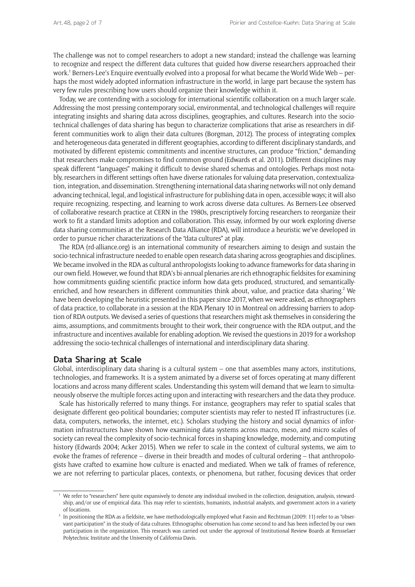The challenge was not to compel researchers to adopt a new standard; instead the challenge was learning to recognize and respect the different data cultures that guided how diverse researchers approached their work.<sup>1</sup> Berners-Lee's Enquire eventually evolved into a proposal for what became the World Wide Web – perhaps the most widely adopted information infrastructure in the world, in large part because the system has very few rules prescribing how users should organize their knowledge within it.

Today, we are contending with a sociology for international scientific collaboration on a much larger scale. Addressing the most pressing contemporary social, environmental, and technological challenges will require integrating insights and sharing data across disciplines, geographies, and cultures. Research into the sociotechnical challenges of data sharing has begun to characterize complications that arise as researchers in different communities work to align their data cultures (Borgman, 2012). The process of integrating complex and heterogeneous data generated in different geographies, according to different disciplinary standards, and motivated by different epistemic commitments and incentive structures, can produce "friction," demanding that researchers make compromises to find common ground (Edwards et al. 2011). Different disciplines may speak different "languages" making it difficult to devise shared schemas and ontologies. Perhaps most notably, researchers in different settings often have diverse rationales for valuing data preservation, contextualization, integration, and dissemination. Strengthening international data sharing networks will not only demand advancing technical, legal, and logistical infrastructure for publishing data in open, accessible ways; it will also require recognizing, respecting, and learning to work across diverse data cultures. As Berners-Lee observed of collaborative research practice at CERN in the 1980s, prescriptively forcing researchers to reorganize their work to fit a standard limits adoption and collaboration. This essay, informed by our work exploring diverse data sharing communities at the Research Data Alliance (RDA), will introduce a heuristic we've developed in order to pursue richer characterizations of the "data cultures" at play.

The RDA (rd-alliance.org) is an international community of researchers aiming to design and sustain the socio-technical infrastructure needed to enable open research data sharing across geographies and disciplines. We became involved in the RDA as cultural anthropologists looking to advance frameworks for data sharing in our own field. However, we found that RDA's bi-annual plenaries are rich ethnographic fieldsites for examining how commitments guiding scientific practice inform how data gets produced, structured, and semanticallyenriched, and how researchers in different communities think about, value, and practice data sharing.<sup>2</sup> We have been developing the heuristic presented in this paper since 2017, when we were asked, as ethnographers of data practice, to collaborate in a session at the RDA Plenary 10 in Montreal on addressing barriers to adoption of RDA outputs. We devised a series of questions that researchers might ask themselves in considering the aims, assumptions, and commitments brought to their work, their congruence with the RDA output, and the infrastructure and incentives available for enabling adoption. We revised the questions in 2019 for a workshop addressing the socio-technical challenges of international and interdisciplinary data sharing.

## **Data Sharing at Scale**

Global, interdisciplinary data sharing is a cultural system – one that assembles many actors, institutions, technologies, and frameworks. It is a system animated by a diverse set of forces operating at many different locations and across many different scales. Understanding this system will demand that we learn to simultaneously observe the multiple forces acting upon and interacting with researchers and the data they produce.

Scale has historically referred to many things. For instance, geographers may refer to spatial scales that designate different geo-political boundaries; computer scientists may refer to nested IT infrastructures (i.e. data, computers, networks, the internet, etc.). Scholars studying the history and social dynamics of information infrastructures have shown how examining data systems across macro, meso, and micro scales of society can reveal the complexity of socio-technical forces in shaping knowledge, modernity, and computing history (Edwards 2004; Acker 2015). When we refer to scale in the context of cultural systems, we aim to evoke the frames of reference – diverse in their breadth and modes of cultural ordering – that anthropologists have crafted to examine how culture is enacted and mediated. When we talk of frames of reference, we are not referring to particular places, contexts, or phenomena, but rather, focusing devices that order

<sup>1</sup> We refer to "researchers" here quite expansively to denote any individual involved in the collection, designation, analysis, stewardship, and/or use of empirical data. This may refer to scientists, humanists, industrial analysts, and government actors in a variety of locations.

 $^2$  In positioning the RDA as a fieldsite, we have methodologically employed what Fassin and Rechtman (2009: 11) refer to as "observant participation" in the study of data cultures. Ethnographic observation has come second to and has been inflected by our own participation in the organization. This research was carried out under the approval of Institutional Review Boards at Rensselaer Polytechnic Institute and the University of California Davis.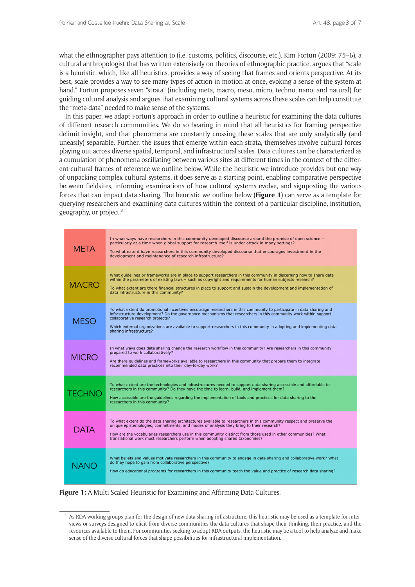what the ethnographer pays attention to (i.e. customs, politics, discourse, etc.). Kim Fortun (2009: 75–6), a cultural anthropologist that has written extensively on theories of ethnographic practice, argues that "scale is a heuristic, which, like all heuristics, provides a way of seeing that frames and orients perspective. At its best, scale provides a way to see many types of action in motion at once, evoking a sense of the system at hand." Fortun proposes seven "strata" (including meta, macro, meso, micro, techno, nano, and natural) for guiding cultural analysis and argues that examining cultural systems across these scales can help constitute the "meta-data" needed to make sense of the systems.

In this paper, we adapt Fortun's approach in order to outline a heuristic for examining the data cultures of different research communities. We do so bearing in mind that all heuristics for framing perspective delimit insight, and that phenomena are constantly crossing these scales that are only analytically (and uneasily) separable. Further, the issues that emerge within each strata, themselves involve cultural forces playing out across diverse spatial, temporal, and infrastructural scales. Data cultures can be characterized as a cumulation of phenomena oscillating between various sites at different times in the context of the different cultural frames of reference we outline below. While the heuristic we introduce provides but one way of unpacking complex cultural systems, it does serve as a starting point, enabling comparative perspective between fieldsites, informing examinations of how cultural systems evolve, and signposting the various forces that can impact data sharing. The heuristic we outline below (**Figure 1**) can serve as a template for querying researchers and examining data cultures within the context of a particular discipline, institution, geography, or project.3

| <b>META</b>   | In what ways have researchers in this community developed discourse around the promise of open science -<br>particularly at a time when global support for research itself is under attack in many settings?<br>To what extent have researchers in this community developed discourse that encourages investment in the<br>development and maintenance of research infrastructure?                                             |
|---------------|--------------------------------------------------------------------------------------------------------------------------------------------------------------------------------------------------------------------------------------------------------------------------------------------------------------------------------------------------------------------------------------------------------------------------------|
| <b>MACRO</b>  | What guidelines or frameworks are in place to support researchers in this community in discerning how to share data<br>within the parameters of existing laws - such as copyright and requirements for human subjects research?<br>To what extent are there financial structures in place to support and sustain the development and implementation of<br>data infrastructure in this community?                               |
| <b>MESO</b>   | To what extent do promotional incentives encourage researchers in this community to participate in data sharing and<br>infrastructure development? Do the governance mechanisms that researchers in this community work within support<br>collaborative research projects?<br>Which external organizations are available to support researchers in this community in adopting and implementing data<br>sharing infrastructure? |
| <b>MICRO</b>  | In what ways does data sharing change the research workflow in this community? Are researchers in this community<br>prepared to work collaboratively?<br>Are there quidelines and frameworks available to researchers in this community that prepare them to integrate<br>recommended data practices into their day-to-day work?                                                                                               |
| <b>TECHNO</b> | To what extent are the technologies and infrastructures needed to support data sharing accessible and affordable to<br>researchers in this community? Do they have the time to learn, build, and implement them?<br>How accessible are the quidelines regarding the implementation of tools and practices for data sharing to the<br>researchers in this community?                                                            |
| <b>DATA</b>   | To what extent do the data sharing architectures available to researchers in this community respect and preserve the<br>unique epistemologies, commitments, and modes of analysis they bring to their research?<br>How are the vocabularies researchers use in this community distinct from those used in other communities? What<br>translational work must researchers perform when adopting shared taxonomies?              |
| <b>NANO</b>   | What beliefs and values motivate researchers in this community to engage in data sharing and collaborative work? What<br>do they hope to gain from collaborative perspective?<br>How do educational programs for researchers in this community teach the value and practice of research data sharing?                                                                                                                          |

**Figure 1:** A Multi-Scaled Heuristic for Examining and Affirming Data Cultures.

 $3$  As RDA working groups plan for the design of new data sharing infrastructure, this heuristic may be used as a template for interviews or surveys designed to elicit from diverse communities the data cultures that shape their thinking, their practice, and the resources available to them. For communities seeking to adopt RDA outputs, the heuristic may be a tool to help analyze and make sense of the diverse cultural forces that shape possibilities for infrastructural implementation.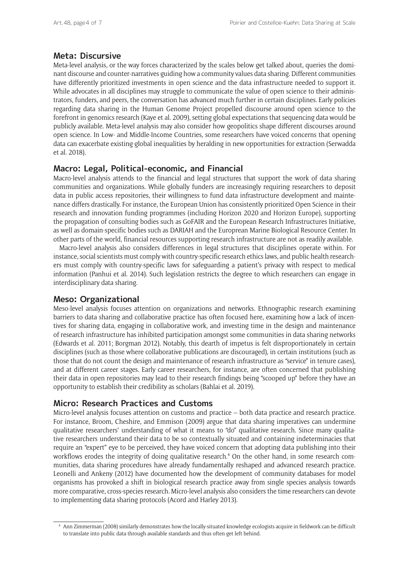# **Meta: Discursive**

Meta-level analysis, or the way forces characterized by the scales below get talked about, queries the dominant discourse and counter-narratives guiding how a community values data sharing. Different communities have differently prioritized investments in open science and the data infrastructure needed to support it. While advocates in all disciplines may struggle to communicate the value of open science to their administrators, funders, and peers, the conversation has advanced much further in certain disciplines. Early policies regarding data sharing in the Human Genome Project propelled discourse around open science to the forefront in genomics research (Kaye et al. 2009), setting global expectations that sequencing data would be publicly available. Meta-level analysis may also consider how geopolitics shape different discourses around open science. In Low- and Middle-Income Countries, some researchers have voiced concerns that opening data can exacerbate existing global inequalities by heralding in new opportunities for extraction (Serwadda et al. 2018).

# **Macro: Legal, Political-economic, and Financial**

Macro-level analysis attends to the financial and legal structures that support the work of data sharing communities and organizations. While globally funders are increasingly requiring researchers to deposit data in public access repositories, their willingness to fund data infrastructure development and maintenance differs drastically. For instance, the European Union has consistently prioritized Open Science in their research and innovation funding programmes (including Horizon 2020 and Horizon Europe), supporting the propagation of consulting bodies such as GoFAIR and the European Research Infrastructures Initiative, as well as domain-specific bodies such as DARIAH and the Europrean Marine Biological Resource Center. In other parts of the world, financial resources supporting research infrastructure are not as readily available.

Macro-level analysis also considers differences in legal structures that disciplines operate within. For instance, social scientists must comply with country-specific research ethics laws, and public health researchers must comply with country-specific laws for safeguarding a patient's privacy with respect to medical information (Panhui et al. 2014). Such legislation restricts the degree to which researchers can engage in interdisciplinary data sharing.

# **Meso: Organizational**

Meso-level analysis focuses attention on organizations and networks. Ethnographic research examining barriers to data sharing and collaborative practice has often focused here, examining how a lack of incentives for sharing data, engaging in collaborative work, and investing time in the design and maintenance of research infrastructure has inhibited participation amongst some communities in data sharing networks (Edwards et al. 2011; Borgman 2012). Notably, this dearth of impetus is felt disproportionately in certain disciplines (such as those where collaborative publications are discouraged), in certain institutions (such as those that do not count the design and maintenance of research infrastructure as "service" in tenure cases), and at different career stages. Early career researchers, for instance, are often concerned that publishing their data in open repositories may lead to their research findings being "scooped up" before they have an opportunity to establish their credibility as scholars (Bahlai et al. 2019).

# **Micro: Research Practices and Customs**

Micro-level analysis focuses attention on customs and practice – both data practice and research practice. For instance, Broom, Cheshire, and Emmison (2009) argue that data sharing imperatives can undermine qualitative researchers' understanding of what it means to "do" qualitative research. Since many qualitative researchers understand their data to be so contextually situated and containing indeterminacies that require an "expert" eye to be perceived, they have voiced concern that adopting data publishing into their workflows erodes the integrity of doing qualitative research.<sup>4</sup> On the other hand, in some research communities, data sharing procedures have already fundamentally reshaped and advanced research practice. Leonelli and Ankeny (2012) have documented how the development of community databases for model organisms has provoked a shift in biological research practice away from single species analysis towards more comparative, cross-species research. Micro-level analysis also considers the time researchers can devote to implementing data sharing protocols (Acord and Harley 2013).

<sup>4</sup> Ann Zimmerman (2008) similarly demonstrates how the locally-situated knowledge ecologists acquire in fieldwork can be difficult to translate into public data through available standards and thus often get left behind.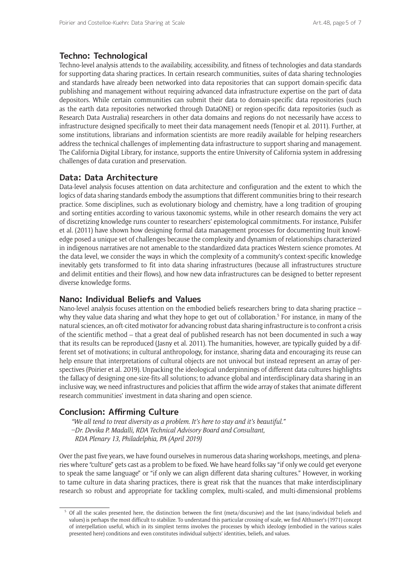# **Techno: Technological**

Techno-level analysis attends to the availability, accessibility, and fitness of technologies and data standards for supporting data sharing practices. In certain research communities, suites of data sharing technologies and standards have already been networked into data repositories that can support domain-specific data publishing and management without requiring advanced data infrastructure expertise on the part of data depositors. While certain communities can submit their data to domain-specific data repositories (such as the earth data repositories networked through DataONE) or region-specific data repositories (such as Research Data Australia) researchers in other data domains and regions do not necessarily have access to infrastructure designed specifically to meet their data management needs (Tenopir et al. 2011). Further, at some institutions, librarians and information scientists are more readily available for helping researchers address the technical challenges of implementing data infrastructure to support sharing and management. The California Digital Library, for instance, supports the entire University of California system in addressing challenges of data curation and preservation.

## **Data: Data Architecture**

Data-level analysis focuses attention on data architecture and configuration and the extent to which the logics of data sharing standards embody the assumptions that different communities bring to their research practice. Some disciplines, such as evolutionary biology and chemistry, have a long tradition of grouping and sorting entities according to various taxonomic systems, while in other research domains the very act of discretizing knowledge runs counter to researchers' epistemological commitments. For instance, Pulsifer et al. (2011) have shown how designing formal data management processes for documenting Inuit knowledge posed a unique set of challenges because the complexity and dynamism of relationships characterized in indigenous narratives are not amenable to the standardized data practices Western science promotes. At the data level, we consider the ways in which the complexity of a community's context-specific knowledge inevitably gets transformed to fit into data sharing infrastructures (because all infrastructures structure and delimit entities and their flows), and how new data infrastructures can be designed to better represent diverse knowledge forms.

### **Nano: Individual Beliefs and Values**

Nano-level analysis focuses attention on the embodied beliefs researchers bring to data sharing practice – why they value data sharing and what they hope to get out of collaboration.<sup>5</sup> For instance, in many of the natural sciences, an oft-cited motivator for advancing robust data sharing infrastructure is to confront a crisis of the scientific method – that a great deal of published research has not been documented in such a way that its results can be reproduced (Jasny et al. 2011). The humanities, however, are typically guided by a different set of motivations; in cultural anthropology, for instance, sharing data and encouraging its reuse can help ensure that interpretations of cultural objects are not univocal but instead represent an array of perspectives (Poirier et al. 2019). Unpacking the ideological underpinnings of different data cultures highlights the fallacy of designing one-size-fits-all solutions; to advance global and interdisciplinary data sharing in an inclusive way, we need infrastructures and policies that affirm the wide array of stakes that animate different research communities' investment in data sharing and open science.

# **Conclusion: Affirming Culture**

*"We all tend to treat diversity as a problem. It's here to stay and it's beautiful." –Dr. Devika P. Madalli, RDA Technical Advisory Board and Consultant, RDA Plenary 13, Philadelphia, PA (April 2019)*

Over the past five years, we have found ourselves in numerous data sharing workshops, meetings, and plenaries where "culture" gets cast as a problem to be fixed. We have heard folks say "if only we could get everyone to speak the same language" or "if only we can align different data sharing cultures." However, in working to tame culture in data sharing practices, there is great risk that the nuances that make interdisciplinary research so robust and appropriate for tackling complex, multi-scaled, and multi-dimensional problems

<sup>5</sup> Of all the scales presented here, the distinction between the first (meta/discursive) and the last (nano/individual beliefs and values) is perhaps the most difficult to stabilize. To understand this particular crossing of scale, we find Althusser's (1971) concept of interpellation useful, which in its simplest terms involves the processes by which ideology (embodied in the various scales presented here) conditions and even constitutes individual subjects' identities, beliefs, and values.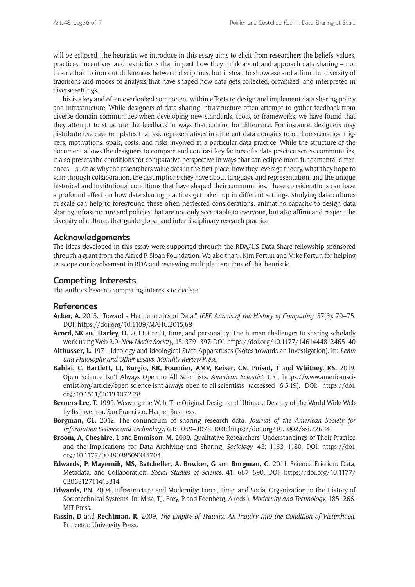will be eclipsed. The heuristic we introduce in this essay aims to elicit from researchers the beliefs, values, practices, incentives, and restrictions that impact how they think about and approach data sharing – not in an effort to iron out differences between disciplines, but instead to showcase and affirm the diversity of traditions and modes of analysis that have shaped how data gets collected, organized, and interpreted in diverse settings.

This is a key and often overlooked component within efforts to design and implement data sharing policy and infrastructure. While designers of data sharing infrastructure often attempt to gather feedback from diverse domain communities when developing new standards, tools, or frameworks, we have found that they attempt to structure the feedback in ways that control for difference. For instance, designers may distribute use case templates that ask representatives in different data domains to outline scenarios, triggers, motivations, goals, costs, and risks involved in a particular data practice. While the structure of the document allows the designers to compare and contrast key factors of a data practice across communities, it also presets the conditions for comparative perspective in ways that can eclipse more fundamental differences – such as why the researchers value data in the first place, how they leverage theory, what they hope to gain through collaboration, the assumptions they have about language and representation, and the unique historical and institutional conditions that have shaped their communities. These considerations can have a profound effect on how data sharing practices get taken up in different settings. Studying data cultures at scale can help to foreground these often neglected considerations, animating capacity to design data sharing infrastructure and policies that are not only acceptable to everyone, but also affirm and respect the diversity of cultures that guide global and interdisciplinary research practice.

## **Acknowledgements**

The ideas developed in this essay were supported through the RDA/US Data Share fellowship sponsored through a grant from the Alfred P. Sloan Foundation. We also thank Kim Fortun and Mike Fortun for helping us scope our involvement in RDA and reviewing multiple iterations of this heuristic.

#### **Competing Interests**

The authors have no competing interests to declare.

#### **References**

- **Acker, A.** 2015. "Toward a Hermeneutics of Data." *IEEE Annals of the History of Computing*, 37(3): 70–75. DOI:<https://doi.org/10.1109/MAHC.2015.68>
- **Acord, SK** and **Harley, D.** 2013. Credit, time, and personality: The human challenges to sharing scholarly work using Web 2.0. *New Media Society*, 15: 379–397. DOI:<https://doi.org/10.1177/1461444812465140>
- **Althusser, L.** 1971. Ideology and Ideological State Apparatuses (Notes towards an Investigation). In: *Lenin and Philosophy and Other Essays. Monthly Review Press*.
- **Bahlai, C, Bartlett, LJ, Burgio, KR, Fournier, AMV, Keiser, CN, Poisot, T** and **Whitney, KS.** 2019. Open Science Isn't Always Open to All Scientists. *American Scientist*. URL [https://www.americansci](https://www.americanscientist.org/article/open-science-isnt-always-open-to-all-scientists)[entist.org/article/open-science-isnt-always-open-to-all-scientists](https://www.americanscientist.org/article/open-science-isnt-always-open-to-all-scientists) (accessed 6.5.19). DOI: [https://doi.](https://doi.org/10.1511/2019.107.2.78) [org/10.1511/2019.107.2.78](https://doi.org/10.1511/2019.107.2.78)
- **Berners-Lee, T.** 1999. Weaving the Web: The Original Design and Ultimate Destiny of the World Wide Web by Its Inventor. San Francisco: Harper Business.
- **Borgman, CL.** 2012. The conundrum of sharing research data. *Journal of the American Society for Information Science and Technology*, 63: 1059–1078. DOI:<https://doi.org/10.1002/asi.22634>
- **Broom, A, Cheshire, L** and **Emmison, M.** 2009. Qualitative Researchers' Understandings of Their Practice and the Implications for Data Archiving and Sharing. *Sociology*, 43: 1163–1180. DOI: [https://doi.](https://doi.org/10.1177/0038038509345704) [org/10.1177/0038038509345704](https://doi.org/10.1177/0038038509345704)
- **Edwards, P, Mayernik, MS, Batcheller, A, Bowker, G** and **Borgman, C.** 2011. Science Friction: Data, Metadata, and Collaboration. *Social Studies of Science*, 41: 667–690. DOI: [https://doi.org/10.1177/](https://doi.org/10.1177/0306312711413314) [0306312711413314](https://doi.org/10.1177/0306312711413314)
- **Edwards, PN.** 2004. Infrastructure and Modernity: Force, Time, and Social Organization in the History of Sociotechnical Systems. In: Misa, TJ, Brey, P and Feenberg, A (eds.), *Modernity and Technology*, 185–266. MIT Press.
- **Fassin, D** and **Rechtman, R.** 2009. *The Empire of Trauma: An Inquiry Into the Condition of Victimhood*. Princeton University Press.